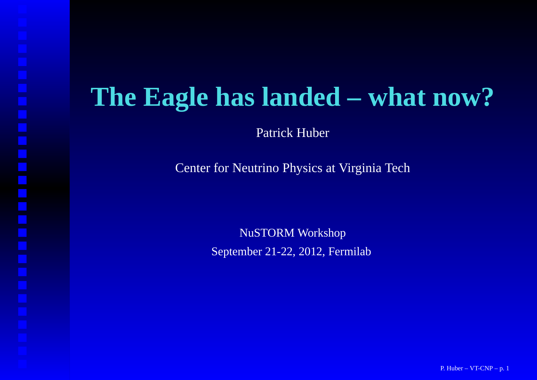## **The Eagle has landed – what now?**

Patrick Huber

Center for Neutrino Physics at Virginia Tech

NuSTORM WorkshopSeptember 21-22, 2012, Fermilab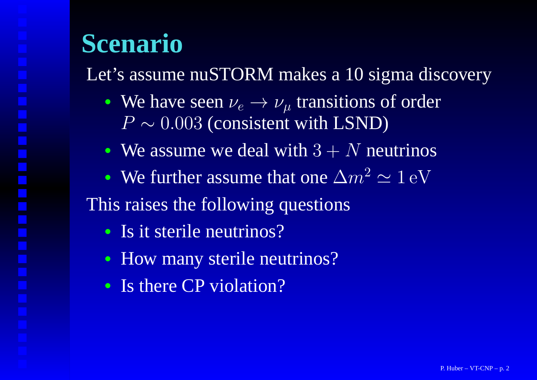# **Scenario**

Let's assume nuSTORM makes <sup>a</sup> 10 sigma discovery

- We have seen  $\nu_e \rightarrow \nu_\mu$  transitions of order<br> $P \sim 0.003$  (consistent with LSND)  $\,P$  $P \sim 0.003$  (consistent with LSND)
- We assume we deal with  $3 + N$  neutrinos
- We further assume that one  $\Delta m^2 \simeq 1 \text{ eV}$ This raises the following questions
	- Is it sterile neutrinos?
	- How many sterile neutrinos?
	- Is there CP violation?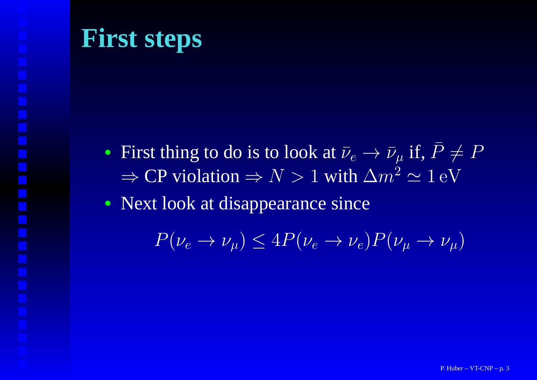## **First steps**

- First thing to do is to look at  $\bar{\nu}_e \rightarrow$  $\rightarrow \bar{\nu}_{\mu}$  if,  $\bar{P} \neq P$ <br>  $\Delta m^2 \sim 1 \text{ eV}$ ⇒ $\Rightarrow$  CP violation  $\Rightarrow$   $N > 1$  with  $\Delta m^2 \simeq 1$  eV
- Next look at disappearance since

 $P(\nu_e \to \nu_\mu) \le 4P(\nu_e \to \nu_e)P(\nu_\mu \to \nu_\mu)$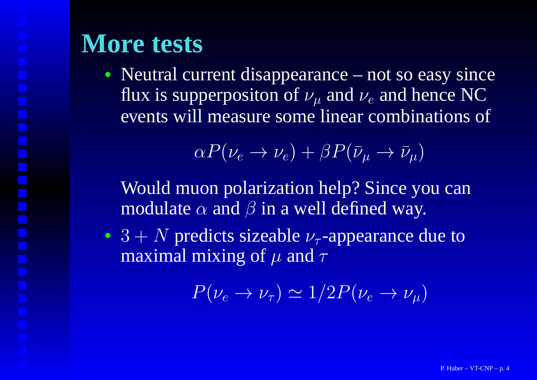## **More tests**

• Neutral current disappearance – not so easy since flux is supperpositon of  $\nu_\mu$  and  $\nu_e$  and hence NC events will measure some linear combinations of

$$
\alpha P(\nu_e \to \nu_e) + \beta P(\bar{\nu}_\mu \to \bar{\nu}_\mu)
$$

Would muon polarization help? Since you canmodulate  $\alpha$  and  $\beta$  in a well defined way.

• 3 + N predicts sizeable  $\nu_{\tau}$ -appearance due to maximal mixing of u and  $\tau$ maximal mixing of  $\mu$  and  $\tau$ 

 $P(\nu_e \rightarrow \nu_\tau) \simeq 1/2P(\nu_e \rightarrow \nu_\mu)$